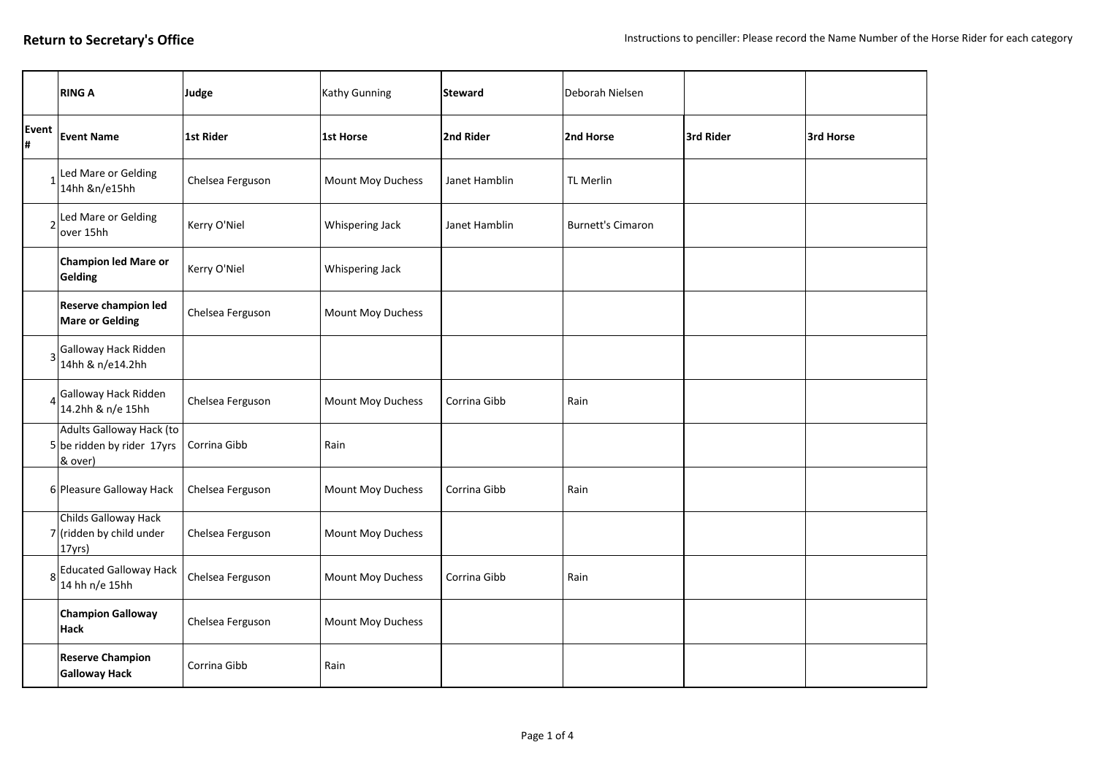|                          | <b>RING A</b>                                                     | Judge            | Kathy Gunning     | <b>Steward</b> | Deborah Nielsen          |           |           |
|--------------------------|-------------------------------------------------------------------|------------------|-------------------|----------------|--------------------------|-----------|-----------|
| Event<br>l#              | <b>Event Name</b>                                                 | <b>1st Rider</b> | 1st Horse         | 2nd Rider      | 2nd Horse                | 3rd Rider | 3rd Horse |
|                          | Led Mare or Gelding<br>14hh &n/e15hh                              | Chelsea Ferguson | Mount Moy Duchess | Janet Hamblin  | <b>TL Merlin</b>         |           |           |
| $\overline{\phantom{0}}$ | Led Mare or Gelding<br>over 15hh                                  | Kerry O'Niel     | Whispering Jack   | Janet Hamblin  | <b>Burnett's Cimaron</b> |           |           |
|                          | Champion led Mare or<br>Gelding                                   | Kerry O'Niel     | Whispering Jack   |                |                          |           |           |
|                          | <b>Reserve champion led</b><br><b>Mare or Gelding</b>             | Chelsea Ferguson | Mount Moy Duchess |                |                          |           |           |
| 3                        | Galloway Hack Ridden<br>14hh & n/e14.2hh                          |                  |                   |                |                          |           |           |
| Δ                        | Galloway Hack Ridden<br>14.2hh & n/e 15hh                         | Chelsea Ferguson | Mount Moy Duchess | Corrina Gibb   | Rain                     |           |           |
|                          | Adults Galloway Hack (to<br>5 be ridden by rider 17yrs<br>& over) | Corrina Gibb     | Rain              |                |                          |           |           |
|                          | 6 Pleasure Galloway Hack                                          | Chelsea Ferguson | Mount Moy Duchess | Corrina Gibb   | Rain                     |           |           |
|                          | Childs Galloway Hack<br>$7$ (ridden by child under<br>$ 17$ yrs)  | Chelsea Ferguson | Mount Moy Duchess |                |                          |           |           |
| 8                        | <b>Educated Galloway Hack</b><br>14 hh n/e 15hh                   | Chelsea Ferguson | Mount Moy Duchess | Corrina Gibb   | Rain                     |           |           |
|                          | <b>Champion Galloway</b><br>Hack                                  | Chelsea Ferguson | Mount Moy Duchess |                |                          |           |           |
|                          | <b>Reserve Champion</b><br><b>Galloway Hack</b>                   | Corrina Gibb     | Rain              |                |                          |           |           |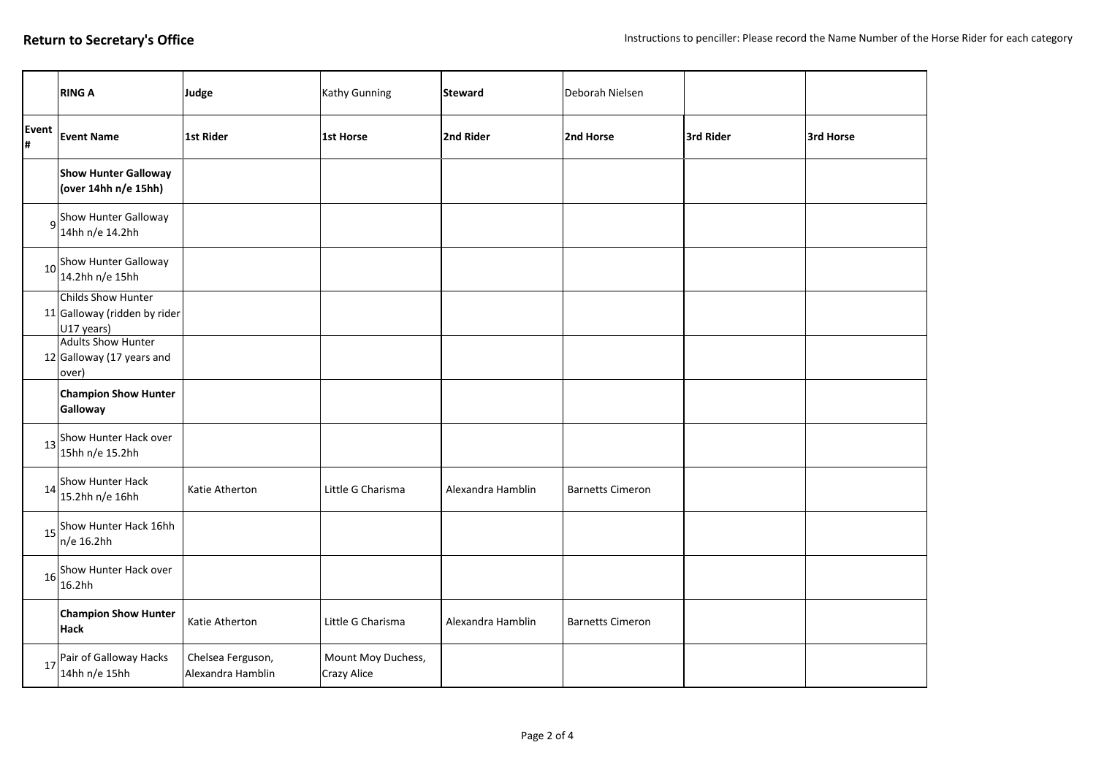|             | <b>RING A</b>                                                    | Judge                                  | Kathy Gunning                     | <b>Steward</b>    | Deborah Nielsen         |           |           |
|-------------|------------------------------------------------------------------|----------------------------------------|-----------------------------------|-------------------|-------------------------|-----------|-----------|
| Event<br> # | <b>Event Name</b>                                                | 1st Rider                              | 1st Horse                         | 2nd Rider         | 2nd Horse               | 3rd Rider | 3rd Horse |
|             | <b>Show Hunter Galloway</b><br>(over 14hh n/e 15hh)              |                                        |                                   |                   |                         |           |           |
|             | g <sup>Show</sup> Hunter Galloway<br>14hh n/e 14.2hh             |                                        |                                   |                   |                         |           |           |
|             | 10Show Hunter Galloway<br>14.2hh n/e 15hh                        |                                        |                                   |                   |                         |           |           |
|             | Childs Show Hunter<br>11 Galloway (ridden by rider<br>U17 years) |                                        |                                   |                   |                         |           |           |
|             | <b>Adults Show Hunter</b><br>12 Galloway (17 years and<br>over)  |                                        |                                   |                   |                         |           |           |
|             | <b>Champion Show Hunter</b><br>Galloway                          |                                        |                                   |                   |                         |           |           |
|             | Show Hunter Hack over<br>15hh n/e 15.2hh                         |                                        |                                   |                   |                         |           |           |
| 14          | Show Hunter Hack<br>15.2hh n/e 16hh                              | Katie Atherton                         | Little G Charisma                 | Alexandra Hamblin | <b>Barnetts Cimeron</b> |           |           |
|             | 15 Show Hunter Hack 16hh<br>n/e 16.2hh                           |                                        |                                   |                   |                         |           |           |
| 16          | Show Hunter Hack over<br>16.2hh                                  |                                        |                                   |                   |                         |           |           |
|             | <b>Champion Show Hunter</b><br><b>Hack</b>                       | Katie Atherton                         | Little G Charisma                 | Alexandra Hamblin | <b>Barnetts Cimeron</b> |           |           |
| 17          | Pair of Galloway Hacks<br>14hh n/e 15hh                          | Chelsea Ferguson,<br>Alexandra Hamblin | Mount Moy Duchess,<br>Crazy Alice |                   |                         |           |           |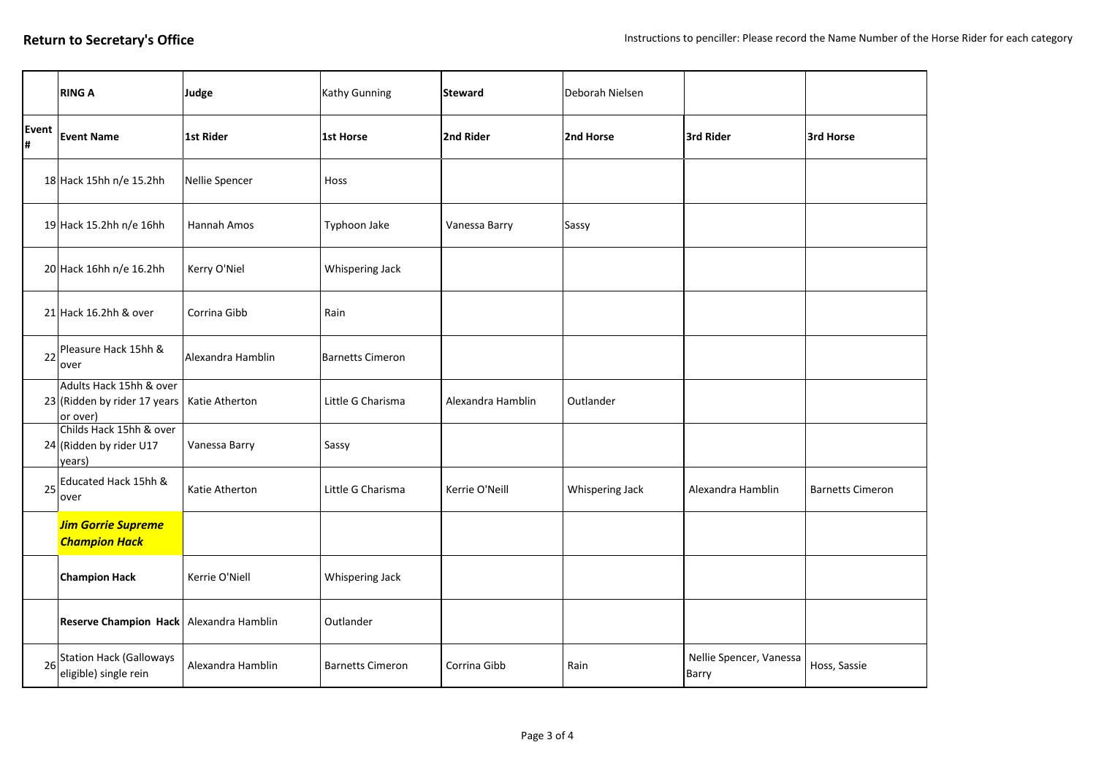|             | <b>RING A</b>                                                       | Judge              | Kathy Gunning           | <b>Steward</b>    | Deborah Nielsen |                                  |                         |
|-------------|---------------------------------------------------------------------|--------------------|-------------------------|-------------------|-----------------|----------------------------------|-------------------------|
| Event<br>l# | <b>Event Name</b>                                                   | <b>1st Rider</b>   | <b>1st Horse</b>        | 2nd Rider         | 2nd Horse       | 3rd Rider                        | 3rd Horse               |
|             | 18 Hack 15hh n/e 15.2hh                                             | Nellie Spencer     | Hoss                    |                   |                 |                                  |                         |
|             | 19 Hack 15.2hh n/e 16hh                                             | <b>Hannah Amos</b> | Typhoon Jake            | Vanessa Barry     | Sassy           |                                  |                         |
|             | 20 Hack 16hh n/e 16.2hh                                             | Kerry O'Niel       | Whispering Jack         |                   |                 |                                  |                         |
|             | 21 Hack 16.2hh & over                                               | Corrina Gibb       | Rain                    |                   |                 |                                  |                         |
| 22          | Pleasure Hack 15hh &<br>over                                        | Alexandra Hamblin  | Barnetts Cimeron        |                   |                 |                                  |                         |
|             | Adults Hack 15hh & over<br>23 (Ridden by rider 17 years<br>or over) | Katie Atherton     | Little G Charisma       | Alexandra Hamblin | Outlander       |                                  |                         |
|             | Childs Hack 15hh & over<br>24 (Ridden by rider U17<br>years)        | Vanessa Barry      | Sassy                   |                   |                 |                                  |                         |
| 25          | Educated Hack 15hh &<br>over                                        | Katie Atherton     | Little G Charisma       | Kerrie O'Neill    | Whispering Jack | Alexandra Hamblin                | <b>Barnetts Cimeron</b> |
|             | <b>Jim Gorrie Supreme</b><br><b>Champion Hack</b>                   |                    |                         |                   |                 |                                  |                         |
|             | <b>Champion Hack</b>                                                | Kerrie O'Niell     | Whispering Jack         |                   |                 |                                  |                         |
|             | Reserve Champion Hack Alexandra Hamblin                             |                    | Outlander               |                   |                 |                                  |                         |
|             | Station Hack (Galloways<br>eligible) single rein                    | Alexandra Hamblin  | <b>Barnetts Cimeron</b> | Corrina Gibb      | Rain            | Nellie Spencer, Vanessa<br>Barry | Hoss, Sassie            |